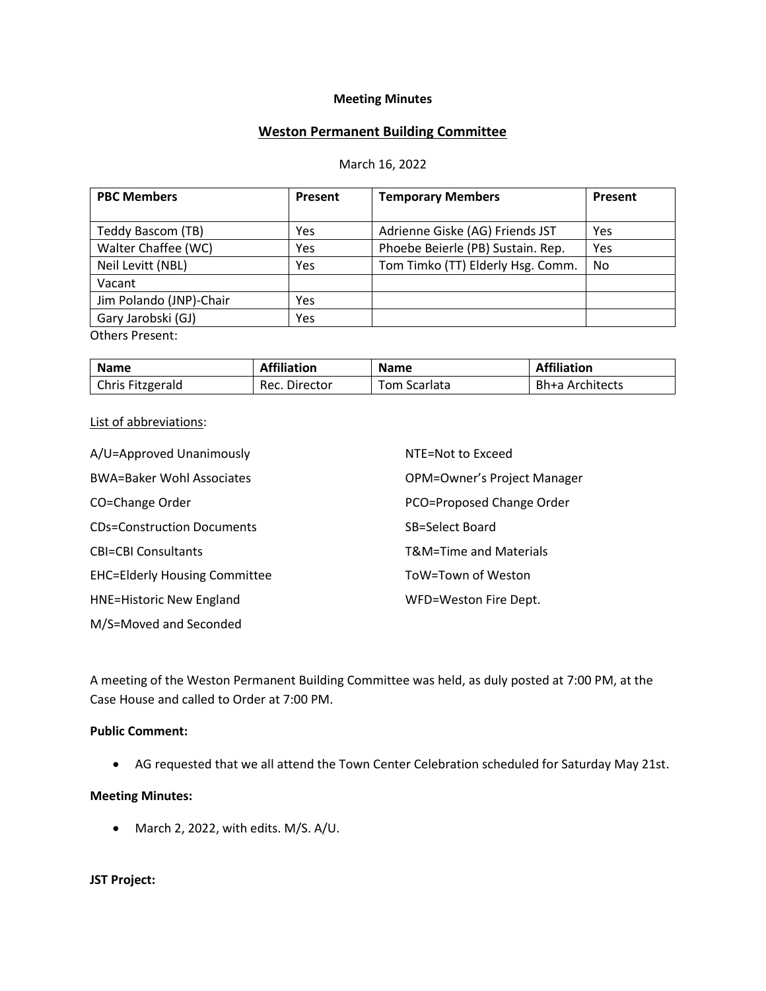### **Meeting Minutes**

# **Weston Permanent Building Committee**

#### March 16, 2022

| <b>PBC Members</b>      | Present | <b>Temporary Members</b>          | Present |
|-------------------------|---------|-----------------------------------|---------|
|                         |         |                                   |         |
| Teddy Bascom (TB)       | Yes     | Adrienne Giske (AG) Friends JST   | Yes     |
| Walter Chaffee (WC)     | Yes     | Phoebe Beierle (PB) Sustain. Rep. | Yes     |
| Neil Levitt (NBL)       | Yes     | Tom Timko (TT) Elderly Hsg. Comm. | No      |
| Vacant                  |         |                                   |         |
| Jim Polando (JNP)-Chair | Yes     |                                   |         |
| Gary Jarobski (GJ)      | Yes     |                                   |         |
| <b>Others Present:</b>  |         |                                   |         |

| <b>Name</b>      | <b>Affiliation</b> | <b>Name</b>  | <b>Affiliation</b> |
|------------------|--------------------|--------------|--------------------|
| Chris Fitzgerald | Rec. Director      | Tom Scarlata | Bh+a Architects    |

#### List of abbreviations:

| A/U=Approved Unanimously             | NTE=Not to Exceed           |
|--------------------------------------|-----------------------------|
| <b>BWA=Baker Wohl Associates</b>     | OPM=Owner's Project Manager |
| CO=Change Order                      | PCO=Proposed Change Order   |
| <b>CDs=Construction Documents</b>    | SB=Select Board             |
| <b>CBI=CBI Consultants</b>           | T&M=Time and Materials      |
| <b>EHC=Elderly Housing Committee</b> | ToW=Town of Weston          |
| <b>HNE=Historic New England</b>      | WFD=Weston Fire Dept.       |
| M/S=Moved and Seconded               |                             |

A meeting of the Weston Permanent Building Committee was held, as duly posted at 7:00 PM, at the Case House and called to Order at 7:00 PM.

### **Public Comment:**

• AG requested that we all attend the Town Center Celebration scheduled for Saturday May 21st.

#### **Meeting Minutes:**

• March 2, 2022, with edits. M/S. A/U.

### **JST Project:**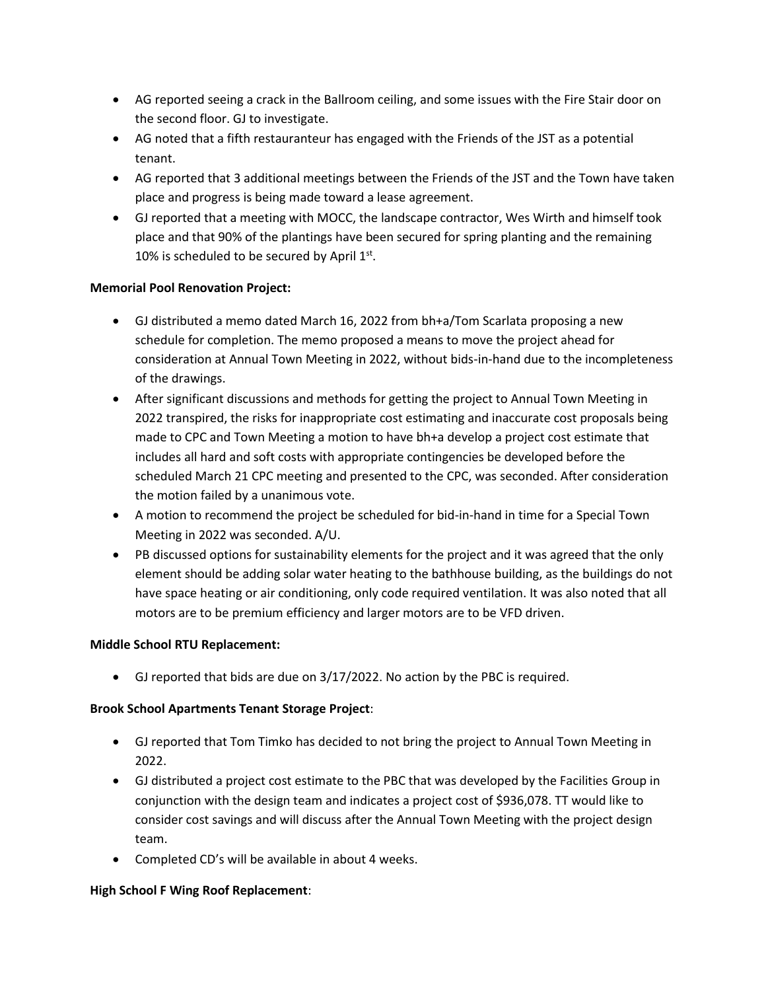- AG reported seeing a crack in the Ballroom ceiling, and some issues with the Fire Stair door on the second floor. GJ to investigate.
- AG noted that a fifth restauranteur has engaged with the Friends of the JST as a potential tenant.
- AG reported that 3 additional meetings between the Friends of the JST and the Town have taken place and progress is being made toward a lease agreement.
- GJ reported that a meeting with MOCC, the landscape contractor, Wes Wirth and himself took place and that 90% of the plantings have been secured for spring planting and the remaining 10% is scheduled to be secured by April  $1<sup>st</sup>$ .

### **Memorial Pool Renovation Project:**

- GJ distributed a memo dated March 16, 2022 from bh+a/Tom Scarlata proposing a new schedule for completion. The memo proposed a means to move the project ahead for consideration at Annual Town Meeting in 2022, without bids-in-hand due to the incompleteness of the drawings.
- After significant discussions and methods for getting the project to Annual Town Meeting in 2022 transpired, the risks for inappropriate cost estimating and inaccurate cost proposals being made to CPC and Town Meeting a motion to have bh+a develop a project cost estimate that includes all hard and soft costs with appropriate contingencies be developed before the scheduled March 21 CPC meeting and presented to the CPC, was seconded. After consideration the motion failed by a unanimous vote.
- A motion to recommend the project be scheduled for bid-in-hand in time for a Special Town Meeting in 2022 was seconded. A/U.
- PB discussed options for sustainability elements for the project and it was agreed that the only element should be adding solar water heating to the bathhouse building, as the buildings do not have space heating or air conditioning, only code required ventilation. It was also noted that all motors are to be premium efficiency and larger motors are to be VFD driven.

# **Middle School RTU Replacement:**

• GJ reported that bids are due on 3/17/2022. No action by the PBC is required.

# **Brook School Apartments Tenant Storage Project**:

- GJ reported that Tom Timko has decided to not bring the project to Annual Town Meeting in 2022.
- GJ distributed a project cost estimate to the PBC that was developed by the Facilities Group in conjunction with the design team and indicates a project cost of \$936,078. TT would like to consider cost savings and will discuss after the Annual Town Meeting with the project design team.
- Completed CD's will be available in about 4 weeks.

# **High School F Wing Roof Replacement**: